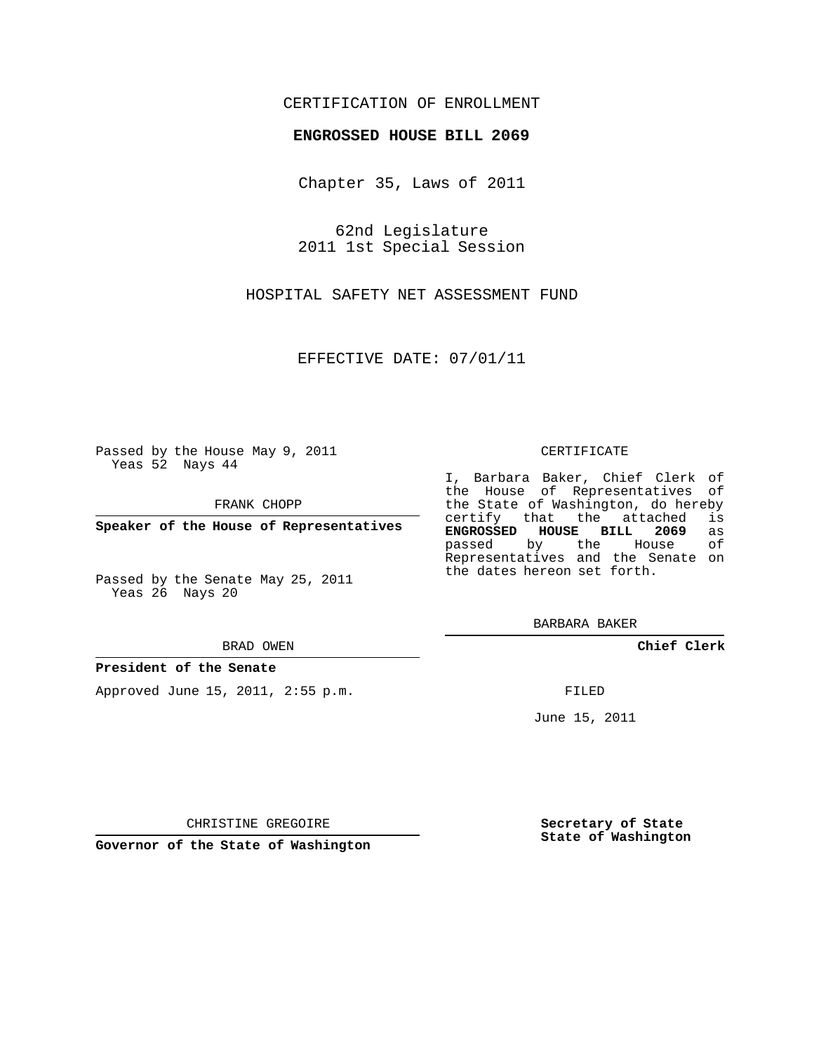### CERTIFICATION OF ENROLLMENT

#### **ENGROSSED HOUSE BILL 2069**

Chapter 35, Laws of 2011

62nd Legislature 2011 1st Special Session

HOSPITAL SAFETY NET ASSESSMENT FUND

EFFECTIVE DATE: 07/01/11

Passed by the House May 9, 2011 Yeas 52 Nays 44

FRANK CHOPP

**Speaker of the House of Representatives**

Passed by the Senate May 25, 2011 Yeas 26 Nays 20

#### BRAD OWEN

#### **President of the Senate**

Approved June 15, 2011, 2:55 p.m.

#### CERTIFICATE

I, Barbara Baker, Chief Clerk of the House of Representatives of the State of Washington, do hereby<br>certify that the attached is certify that the attached **ENGROSSED HOUSE BILL 2069** as passed by the House Representatives and the Senate on the dates hereon set forth.

BARBARA BAKER

**Chief Clerk**

FILED

June 15, 2011

**Secretary of State State of Washington**

CHRISTINE GREGOIRE

**Governor of the State of Washington**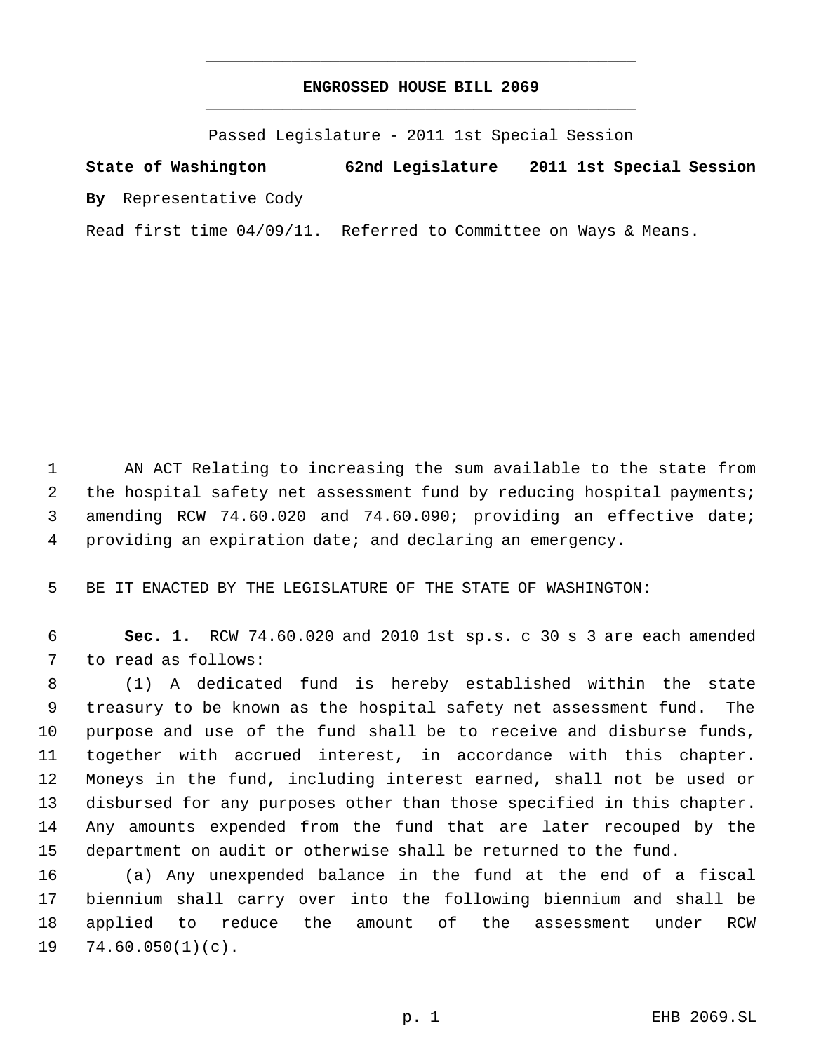## **ENGROSSED HOUSE BILL 2069** \_\_\_\_\_\_\_\_\_\_\_\_\_\_\_\_\_\_\_\_\_\_\_\_\_\_\_\_\_\_\_\_\_\_\_\_\_\_\_\_\_\_\_\_\_

\_\_\_\_\_\_\_\_\_\_\_\_\_\_\_\_\_\_\_\_\_\_\_\_\_\_\_\_\_\_\_\_\_\_\_\_\_\_\_\_\_\_\_\_\_

Passed Legislature - 2011 1st Special Session

# **State of Washington 62nd Legislature 2011 1st Special Session By** Representative Cody

Read first time 04/09/11. Referred to Committee on Ways & Means.

 AN ACT Relating to increasing the sum available to the state from the hospital safety net assessment fund by reducing hospital payments; amending RCW 74.60.020 and 74.60.090; providing an effective date; providing an expiration date; and declaring an emergency.

BE IT ENACTED BY THE LEGISLATURE OF THE STATE OF WASHINGTON:

 **Sec. 1.** RCW 74.60.020 and 2010 1st sp.s. c 30 s 3 are each amended to read as follows:

 (1) A dedicated fund is hereby established within the state treasury to be known as the hospital safety net assessment fund. The purpose and use of the fund shall be to receive and disburse funds, together with accrued interest, in accordance with this chapter. Moneys in the fund, including interest earned, shall not be used or disbursed for any purposes other than those specified in this chapter. Any amounts expended from the fund that are later recouped by the department on audit or otherwise shall be returned to the fund.

 (a) Any unexpended balance in the fund at the end of a fiscal biennium shall carry over into the following biennium and shall be applied to reduce the amount of the assessment under RCW  $19 \quad 74.60.050(1)(c)$ .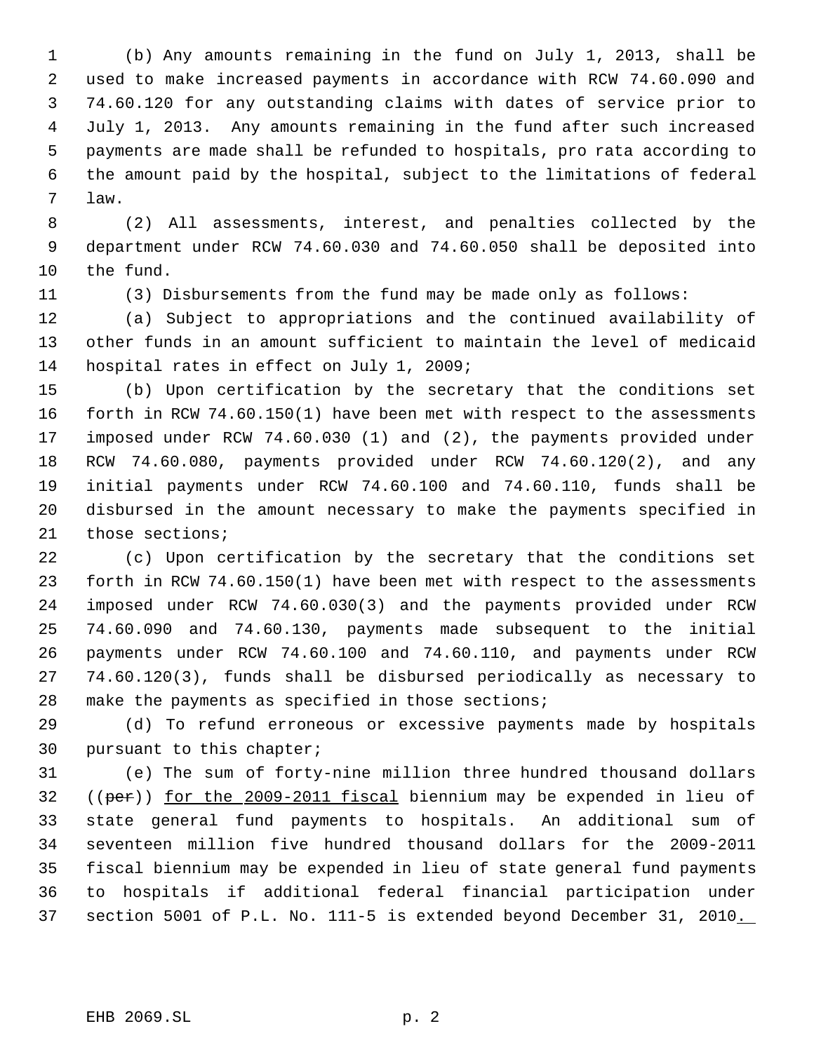(b) Any amounts remaining in the fund on July 1, 2013, shall be used to make increased payments in accordance with RCW 74.60.090 and 74.60.120 for any outstanding claims with dates of service prior to July 1, 2013. Any amounts remaining in the fund after such increased payments are made shall be refunded to hospitals, pro rata according to the amount paid by the hospital, subject to the limitations of federal law.

 (2) All assessments, interest, and penalties collected by the department under RCW 74.60.030 and 74.60.050 shall be deposited into the fund.

(3) Disbursements from the fund may be made only as follows:

 (a) Subject to appropriations and the continued availability of other funds in an amount sufficient to maintain the level of medicaid hospital rates in effect on July 1, 2009;

 (b) Upon certification by the secretary that the conditions set forth in RCW 74.60.150(1) have been met with respect to the assessments imposed under RCW 74.60.030 (1) and (2), the payments provided under RCW 74.60.080, payments provided under RCW 74.60.120(2), and any initial payments under RCW 74.60.100 and 74.60.110, funds shall be disbursed in the amount necessary to make the payments specified in those sections;

 (c) Upon certification by the secretary that the conditions set forth in RCW 74.60.150(1) have been met with respect to the assessments imposed under RCW 74.60.030(3) and the payments provided under RCW 74.60.090 and 74.60.130, payments made subsequent to the initial payments under RCW 74.60.100 and 74.60.110, and payments under RCW 74.60.120(3), funds shall be disbursed periodically as necessary to make the payments as specified in those sections;

 (d) To refund erroneous or excessive payments made by hospitals pursuant to this chapter;

 (e) The sum of forty-nine million three hundred thousand dollars ((per)) for the 2009-2011 fiscal biennium may be expended in lieu of state general fund payments to hospitals. An additional sum of seventeen million five hundred thousand dollars for the 2009-2011 fiscal biennium may be expended in lieu of state general fund payments to hospitals if additional federal financial participation under section 5001 of P.L. No. 111-5 is extended beyond December 31, 2010.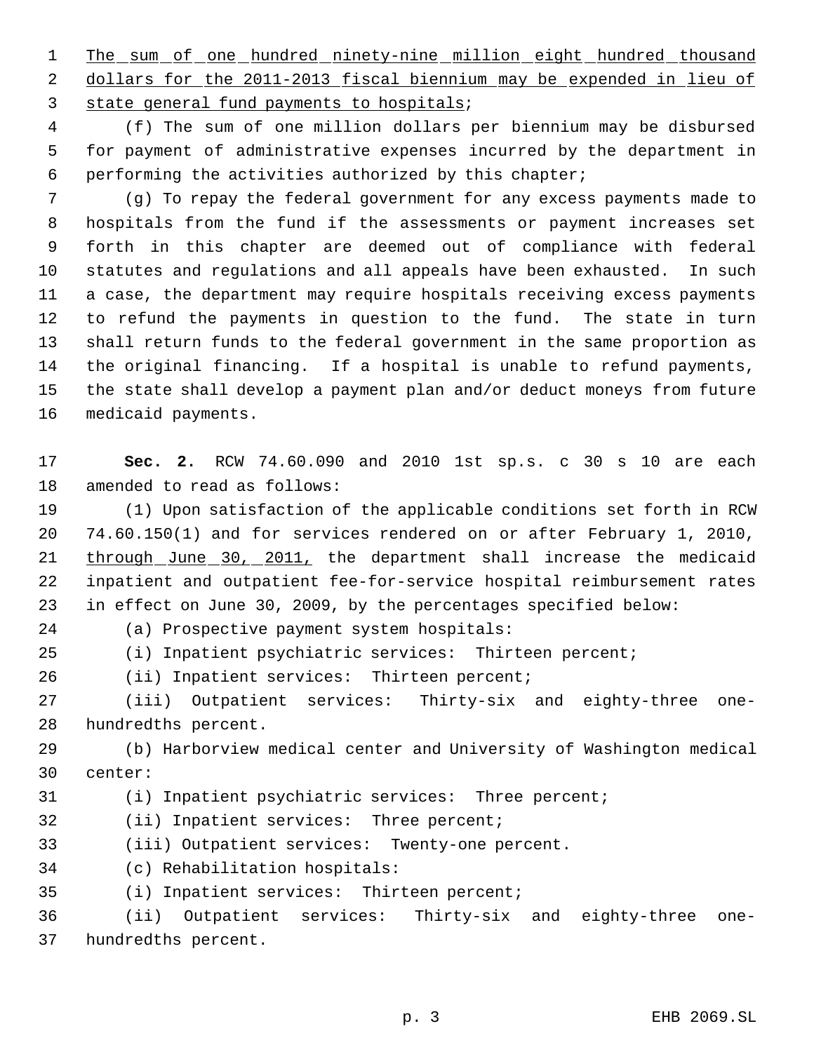1 The sum of one hundred ninety-nine million eight hundred thousand 2 dollars for the 2011-2013 fiscal biennium may be expended in lieu of 3 state general fund payments to hospitals;

 (f) The sum of one million dollars per biennium may be disbursed for payment of administrative expenses incurred by the department in performing the activities authorized by this chapter;

 (g) To repay the federal government for any excess payments made to hospitals from the fund if the assessments or payment increases set forth in this chapter are deemed out of compliance with federal statutes and regulations and all appeals have been exhausted. In such a case, the department may require hospitals receiving excess payments to refund the payments in question to the fund. The state in turn shall return funds to the federal government in the same proportion as the original financing. If a hospital is unable to refund payments, the state shall develop a payment plan and/or deduct moneys from future medicaid payments.

 **Sec. 2.** RCW 74.60.090 and 2010 1st sp.s. c 30 s 10 are each amended to read as follows:

 (1) Upon satisfaction of the applicable conditions set forth in RCW 74.60.150(1) and for services rendered on or after February 1, 2010, 21 through June 30, 2011, the department shall increase the medicaid inpatient and outpatient fee-for-service hospital reimbursement rates in effect on June 30, 2009, by the percentages specified below:

(a) Prospective payment system hospitals:

(i) Inpatient psychiatric services: Thirteen percent;

(ii) Inpatient services: Thirteen percent;

 (iii) Outpatient services: Thirty-six and eighty-three one-hundredths percent.

 (b) Harborview medical center and University of Washington medical center:

(i) Inpatient psychiatric services: Three percent;

(ii) Inpatient services: Three percent;

(iii) Outpatient services: Twenty-one percent.

(c) Rehabilitation hospitals:

(i) Inpatient services: Thirteen percent;

 (ii) Outpatient services: Thirty-six and eighty-three one-hundredths percent.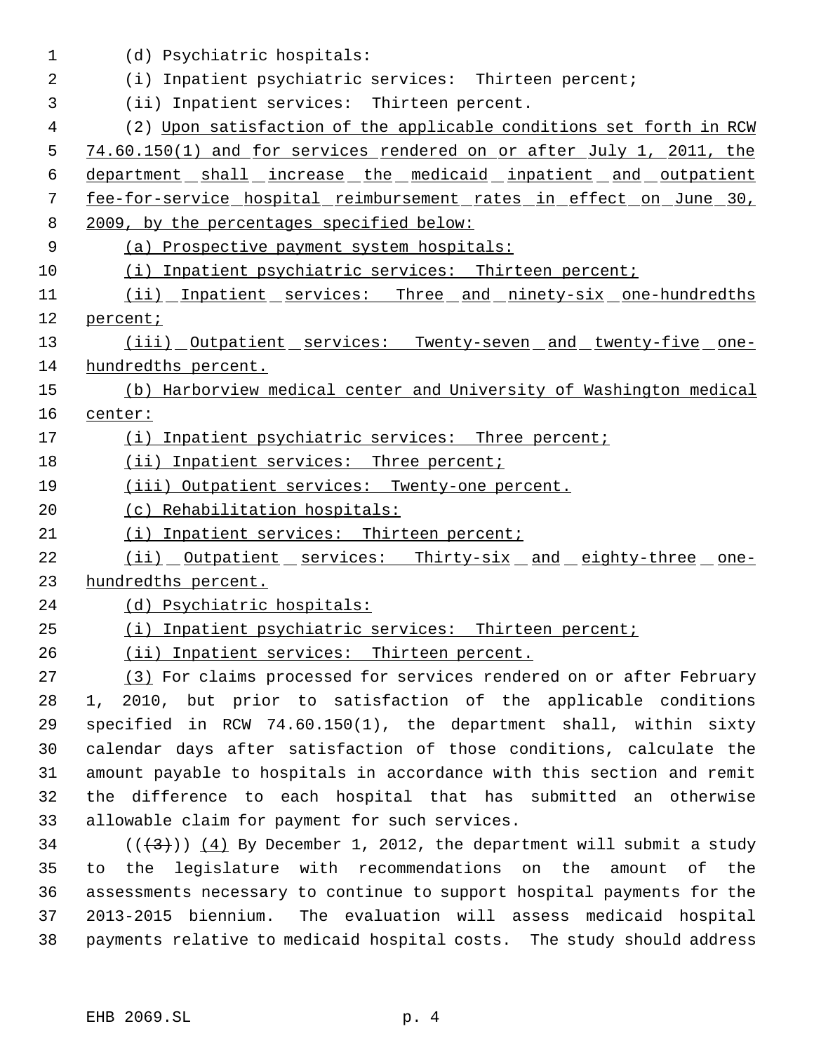| 1  | (d) Psychiatric hospitals:                                             |
|----|------------------------------------------------------------------------|
| 2  | (i) Inpatient psychiatric services: Thirteen percent;                  |
| 3  | (ii) Inpatient services: Thirteen percent.                             |
| 4  | (2) Upon satisfaction of the applicable conditions set forth in RCW    |
| 5  | 74.60.150(1) and for services rendered on or after July 1, 2011, the   |
| 6  | department shall increase the medicaid inpatient and outpatient        |
| 7  | fee-for-service hospital reimbursement rates in effect on June 30,     |
| 8  | 2009, by the percentages specified below:                              |
| 9  | (a) Prospective payment system hospitals:                              |
| 10 | (i) Inpatient psychiatric services: Thirteen percent;                  |
| 11 | (ii) Inpatient services: Three and ninety-six one-hundredths           |
| 12 | percent;                                                               |
| 13 | (iii) Outpatient services: Twenty-seven and twenty-five one-           |
| 14 | hundredths percent.                                                    |
| 15 | (b) Harborview medical center and University of Washington medical     |
| 16 | center:                                                                |
| 17 | (i) Inpatient psychiatric services: Three percent;                     |
| 18 | (ii) Inpatient services: Three percent;                                |
| 19 | (iii) Outpatient services: Twenty-one percent.                         |
| 20 | (c) Rehabilitation hospitals:                                          |
| 21 | (i) Inpatient services: Thirteen percent;                              |
| 22 | (ii) Outpatient services: Thirty-six and eighty-three one-             |
| 23 | hundredths percent.                                                    |
| 24 | (d) Psychiatric hospitals:                                             |
| 25 | (i) Inpatient psychiatric services: Thirteen percent;                  |
| 26 | (ii) Inpatient services: Thirteen percent.                             |
| 27 | (3) For claims processed for services rendered on or after February    |
| 28 | 1, 2010, but prior to satisfaction of the applicable conditions        |
| 29 | specified in RCW $74.60.150(1)$ , the department shall, within sixty   |
| 30 | calendar days after satisfaction of those conditions, calculate the    |
| 31 | amount payable to hospitals in accordance with this section and remit  |
| 32 | the difference to each hospital that has submitted an otherwise        |
| 33 | allowable claim for payment for such services.                         |
| 34 | $((+3))$ (4) By December 1, 2012, the department will submit a study   |
| 35 | the legislature with recommendations on the<br>amount of the<br>to     |
| 36 | assessments necessary to continue to support hospital payments for the |
| 37 | 2013-2015 biennium. The evaluation will assess medicaid hospital       |
| 38 | payments relative to medicaid hospital costs. The study should address |